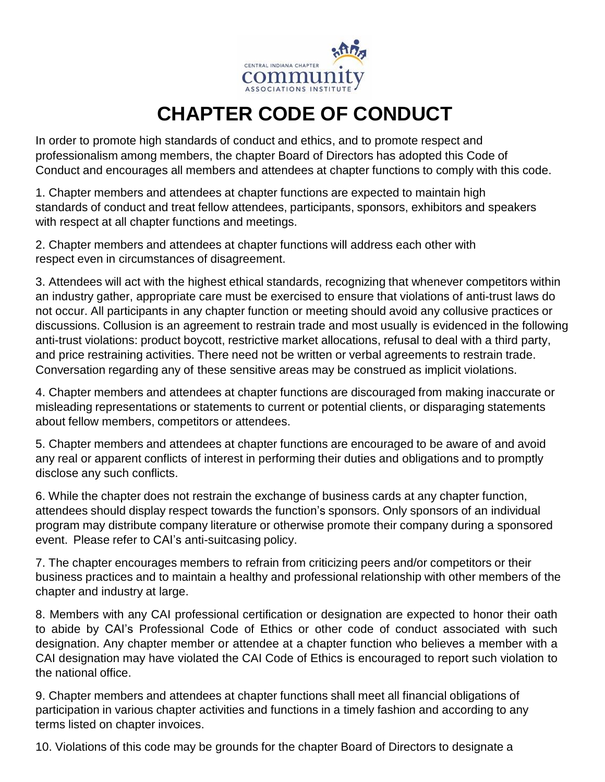

## **CHAPTER CODE OF CONDUCT**

In order to promote high standards of conduct and ethics, and to promote respect and professionalism among members, the chapter Board of Directors has adopted this Code of Conduct and encourages all members and attendees at chapter functions to comply with this code.

1. Chapter members and attendees at chapter functions are expected to maintain high standards of conduct and treat fellow attendees, participants, sponsors, exhibitors and speakers with respect at all chapter functions and meetings.

2. Chapter members and attendees at chapter functions will address each other with respect even in circumstances of disagreement.

3. Attendees will act with the highest ethical standards, recognizing that whenever competitors within an industry gather, appropriate care must be exercised to ensure that violations of anti-trust laws do not occur. All participants in any chapter function or meeting should avoid any collusive practices or discussions. Collusion is an agreement to restrain trade and most usually is evidenced in the following anti-trust violations: product boycott, restrictive market allocations, refusal to deal with a third party, and price restraining activities. There need not be written or verbal agreements to restrain trade. Conversation regarding any of these sensitive areas may be construed as implicit violations.

4. Chapter members and attendees at chapter functions are discouraged from making inaccurate or misleading representations or statements to current or potential clients, or disparaging statements about fellow members, competitors or attendees.

5. Chapter members and attendees at chapter functions are encouraged to be aware of and avoid any real or apparent conflicts of interest in performing their duties and obligations and to promptly disclose any such conflicts.

6. While the chapter does not restrain the exchange of business cards at any chapter function, attendees should display respect towards the function's sponsors. Only sponsors of an individual program may distribute company literature or otherwise promote their company during a sponsored event. Please refer to CAI's anti-suitcasing policy.

7. The chapter encourages members to refrain from criticizing peers and/or competitors or their business practices and to maintain a healthy and professional relationship with other members of the chapter and industry at large.

8. Members with any CAI professional certification or designation are expected to honor their oath to abide by CAI's Professional Code of Ethics or other code of conduct associated with such designation. Any chapter member or attendee at a chapter function who believes a member with a CAI designation may have violated the CAI Code of Ethics is encouraged to report such violation to the national office.

9. Chapter members and attendees at chapter functions shall meet all financial obligations of participation in various chapter activities and functions in a timely fashion and according to any terms listed on chapter invoices.

10. Violations of this code may be grounds for the chapter Board of Directors to designate a